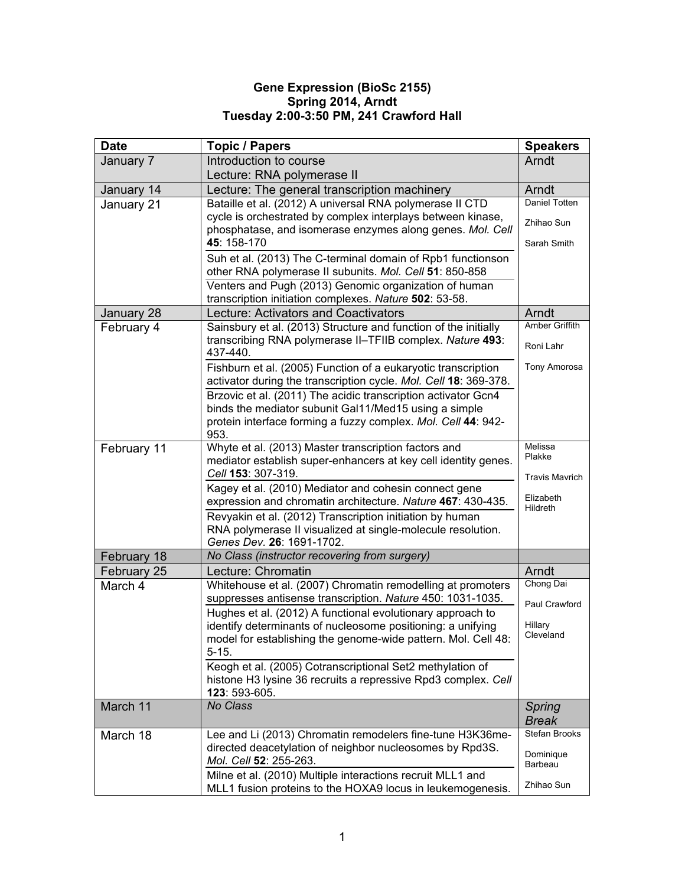## **Gene Expression (BioSc 2155) Spring 2014, Arndt Tuesday 2:00-3:50 PM, 241 Crawford Hall**

| <b>Date</b> | <b>Topic / Papers</b>                                                                                                                                                                                 | <b>Speakers</b>                                   |
|-------------|-------------------------------------------------------------------------------------------------------------------------------------------------------------------------------------------------------|---------------------------------------------------|
| January 7   | Introduction to course                                                                                                                                                                                | Arndt                                             |
|             | Lecture: RNA polymerase II                                                                                                                                                                            |                                                   |
| January 14  | Lecture: The general transcription machinery                                                                                                                                                          | Arndt                                             |
| January 21  | Bataille et al. (2012) A universal RNA polymerase II CTD<br>cycle is orchestrated by complex interplays between kinase,<br>phosphatase, and isomerase enzymes along genes. Mol. Cell<br>45: 158-170   | <b>Daniel Totten</b><br>Zhihao Sun<br>Sarah Smith |
|             | Suh et al. (2013) The C-terminal domain of Rpb1 functionson<br>other RNA polymerase II subunits. Mol. Cell 51: 850-858                                                                                |                                                   |
|             | Venters and Pugh (2013) Genomic organization of human<br>transcription initiation complexes. Nature 502: 53-58.                                                                                       |                                                   |
| January 28  | Lecture: Activators and Coactivators                                                                                                                                                                  | Arndt                                             |
| February 4  | Sainsbury et al. (2013) Structure and function of the initially<br>transcribing RNA polymerase II-TFIIB complex. Nature 493:<br>437-440.                                                              | Amber Griffith<br>Roni Lahr                       |
|             | Fishburn et al. (2005) Function of a eukaryotic transcription<br>activator during the transcription cycle. Mol. Cell 18: 369-378.                                                                     | Tony Amorosa                                      |
|             | Brzovic et al. (2011) The acidic transcription activator Gcn4<br>binds the mediator subunit Gal11/Med15 using a simple<br>protein interface forming a fuzzy complex. Mol. Cell 44: 942-<br>953.       |                                                   |
| February 11 | Whyte et al. (2013) Master transcription factors and<br>mediator establish super-enhancers at key cell identity genes.<br>Cell 153: 307-319.                                                          | Melissa<br>Plakke<br><b>Travis Mavrich</b>        |
|             | Kagey et al. (2010) Mediator and cohesin connect gene<br>expression and chromatin architecture. Nature 467: 430-435.                                                                                  | Elizabeth<br>Hildreth                             |
|             | Revyakin et al. (2012) Transcription initiation by human<br>RNA polymerase II visualized at single-molecule resolution.<br>Genes Dev. 26: 1691-1702.                                                  |                                                   |
| February 18 | No Class (instructor recovering from surgery)                                                                                                                                                         |                                                   |
| February 25 | Lecture: Chromatin                                                                                                                                                                                    | Arndt                                             |
| March 4     | Whitehouse et al. (2007) Chromatin remodelling at promoters<br>suppresses antisense transcription. Nature 450: 1031-1035.                                                                             | Chong Dai<br>Paul Crawford                        |
|             | Hughes et al. (2012) A functional evolutionary approach to<br>identify determinants of nucleosome positioning: a unifying<br>model for establishing the genome-wide pattern. Mol. Cell 48:<br>$5-15.$ | Hillary<br>Cleveland                              |
|             | Keogh et al. (2005) Cotranscriptional Set2 methylation of<br>histone H3 lysine 36 recruits a repressive Rpd3 complex. Cell<br>123: 593-605.                                                           |                                                   |
| March 11    | No Class                                                                                                                                                                                              | Spring<br><b>Break</b>                            |
| March 18    | Lee and Li (2013) Chromatin remodelers fine-tune H3K36me-<br>directed deacetylation of neighbor nucleosomes by Rpd3S.<br>Mol. Cell 52: 255-263.                                                       | <b>Stefan Brooks</b><br>Dominique<br>Barbeau      |
|             | Milne et al. (2010) Multiple interactions recruit MLL1 and<br>MLL1 fusion proteins to the HOXA9 locus in leukemogenesis.                                                                              | Zhihao Sun                                        |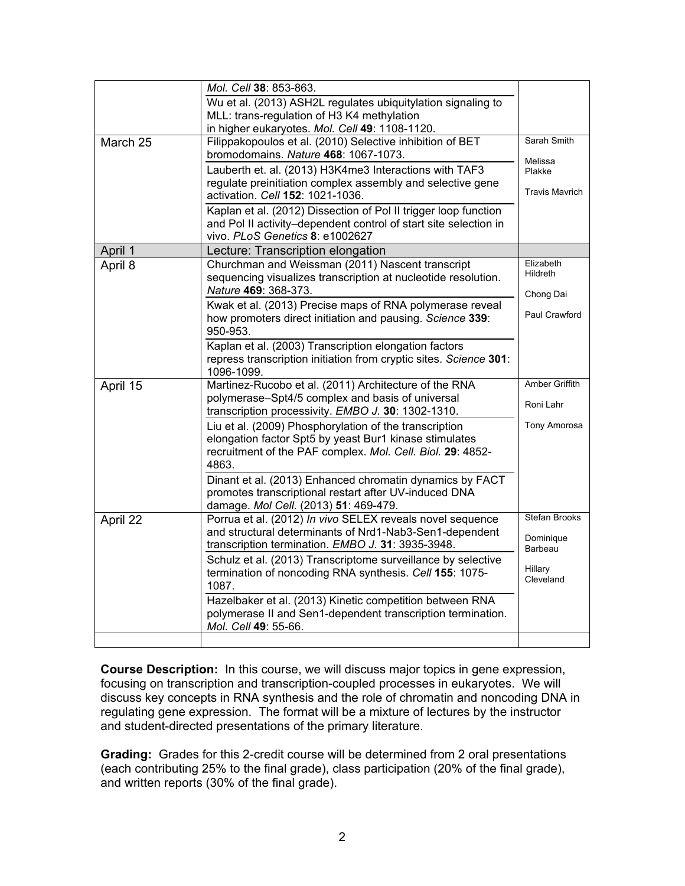|          | Mol. Cell 38: 853-863.                                               |                       |
|----------|----------------------------------------------------------------------|-----------------------|
|          | Wu et al. (2013) ASH2L regulates ubiquitylation signaling to         |                       |
|          | MLL: trans-regulation of H3 K4 methylation                           |                       |
|          | in higher eukaryotes. Mol. Cell 49: 1108-1120.                       |                       |
| March 25 | Filippakopoulos et al. (2010) Selective inhibition of BET            | Sarah Smith           |
|          | bromodomains. Nature 468: 1067-1073.                                 | Melissa               |
|          | Lauberth et. al. (2013) H3K4me3 Interactions with TAF3               | Plakke                |
|          | regulate preinitiation complex assembly and selective gene           | <b>Travis Mavrich</b> |
|          | activation. Cell 152: 1021-1036.                                     |                       |
|          | Kaplan et al. (2012) Dissection of Pol II trigger loop function      |                       |
|          | and Pol II activity-dependent control of start site selection in     |                       |
| April 1  | vivo. PLoS Genetics 8: e1002627<br>Lecture: Transcription elongation |                       |
|          | Churchman and Weissman (2011) Nascent transcript                     | Elizabeth             |
| April 8  | sequencing visualizes transcription at nucleotide resolution.        | Hildreth              |
|          | Nature 469: 368-373.                                                 |                       |
|          | Kwak et al. (2013) Precise maps of RNA polymerase reveal             | Chong Dai             |
|          | how promoters direct initiation and pausing. Science 339:            | Paul Crawford         |
|          | 950-953.                                                             |                       |
|          | Kaplan et al. (2003) Transcription elongation factors                |                       |
|          | repress transcription initiation from cryptic sites. Science 301:    |                       |
|          | 1096-1099.                                                           |                       |
| April 15 | Martinez-Rucobo et al. (2011) Architecture of the RNA                | Amber Griffith        |
|          | polymerase-Spt4/5 complex and basis of universal                     | Roni Lahr             |
|          | transcription processivity. EMBO J. 30: 1302-1310.                   |                       |
|          | Liu et al. (2009) Phosphorylation of the transcription               | Tony Amorosa          |
|          | elongation factor Spt5 by yeast Bur1 kinase stimulates               |                       |
|          | recruitment of the PAF complex. Mol. Cell. Biol. 29: 4852-<br>4863.  |                       |
|          | Dinant et al. (2013) Enhanced chromatin dynamics by FACT             |                       |
|          | promotes transcriptional restart after UV-induced DNA                |                       |
|          | damage. Mol Cell. (2013) 51: 469-479.                                |                       |
| April 22 | Porrua et al. (2012) In vivo SELEX reveals novel sequence            | <b>Stefan Brooks</b>  |
|          | and structural determinants of Nrd1-Nab3-Sen1-dependent              |                       |
|          | transcription termination. EMBO J. 31: 3935-3948.                    | Dominique<br>Barbeau  |
|          | Schulz et al. (2013) Transcriptome surveillance by selective         |                       |
|          | termination of noncoding RNA synthesis. Cell 155: 1075-              | Hillary<br>Cleveland  |
|          | 1087.                                                                |                       |
|          | Hazelbaker et al. (2013) Kinetic competition between RNA             |                       |
|          | polymerase II and Sen1-dependent transcription termination.          |                       |
|          | Mol. Cell 49: 55-66.                                                 |                       |
|          |                                                                      |                       |

**Course Description:** In this course, we will discuss major topics in gene expression, focusing on transcription and transcription-coupled processes in eukaryotes. We will discuss key concepts in RNA synthesis and the role of chromatin and noncoding DNA in regulating gene expression. The format will be a mixture of lectures by the instructor and student-directed presentations of the primary literature.

**Grading:** Grades for this 2-credit course will be determined from 2 oral presentations (each contributing 25% to the final grade), class participation (20% of the final grade), and written reports (30% of the final grade).